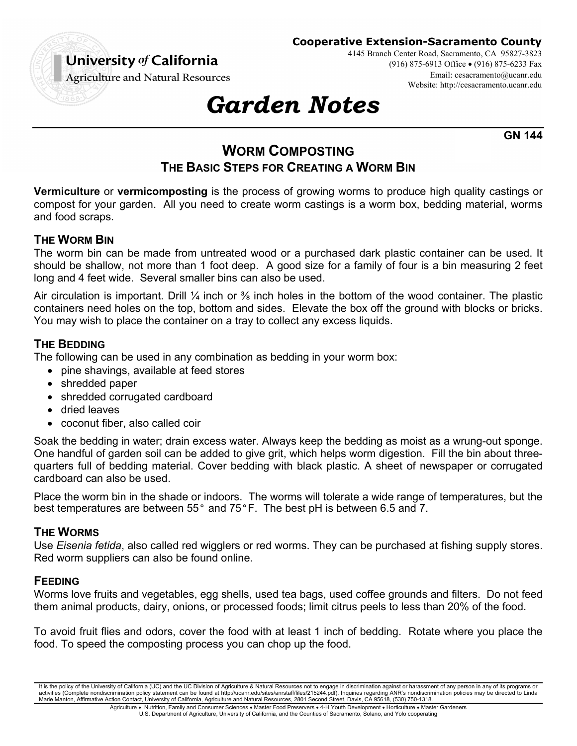

**Cooperative Extension-Sacramento County**

4145 Branch Center Road, Sacramento, CA 95827-3823 (916) 875-6913 Office (916) 875-6233 Fax Email: cesacramento@ucanr.edu Website: http://cesacramento.ucanr.edu

# *Garden Notes*

**GN 144** 

# **WORM COMPOSTING THE BASIC STEPS FOR CREATING A WORM BIN**

**Vermiculture** or **vermicomposting** is the process of growing worms to produce high quality castings or compost for your garden. All you need to create worm castings is a worm box, bedding material, worms and food scraps.

# **THE WORM BIN**

The worm bin can be made from untreated wood or a purchased dark plastic container can be used. It should be shallow, not more than 1 foot deep. A good size for a family of four is a bin measuring 2 feet long and 4 feet wide. Several smaller bins can also be used.

Air circulation is important. Drill  $\frac{1}{4}$  inch or  $\frac{3}{8}$  inch holes in the bottom of the wood container. The plastic containers need holes on the top, bottom and sides. Elevate the box off the ground with blocks or bricks. You may wish to place the container on a tray to collect any excess liquids.

## **THE BEDDING**

The following can be used in any combination as bedding in your worm box:

- pine shavings, available at feed stores
- shredded paper
- shredded corrugated cardboard
- dried leaves
- coconut fiber, also called coir

Soak the bedding in water; drain excess water. Always keep the bedding as moist as a wrung-out sponge. One handful of garden soil can be added to give grit, which helps worm digestion. Fill the bin about threequarters full of bedding material. Cover bedding with black plastic. A sheet of newspaper or corrugated cardboard can also be used.

Place the worm bin in the shade or indoors. The worms will tolerate a wide range of temperatures, but the best temperatures are between 55° and 75°F. The best pH is between 6.5 and 7.

#### **THE WORMS**

Use *Eisenia fetida*, also called red wigglers or red worms. They can be purchased at fishing supply stores. Red worm suppliers can also be found online.

# **FEEDING**

Worms love fruits and vegetables, egg shells, used tea bags, used coffee grounds and filters. Do not feed them animal products, dairy, onions, or processed foods; limit citrus peels to less than 20% of the food.

To avoid fruit flies and odors, cover the food with at least 1 inch of bedding. Rotate where you place the food. To speed the composting process you can chop up the food.

It is the policy of the University of California (UC) and the UC Division of Agriculture & Natural Resources not to engage in discrimination against or harassment of any person in any of its programs or activities (Complete nondiscrimination policy statement can be found at http://ucanr.edu/sites/anrstaff/files/215244.pdf). Inquiries regarding ANR's nondiscrimination policies may be directed to Linda<br>Marie Manton, Affirma